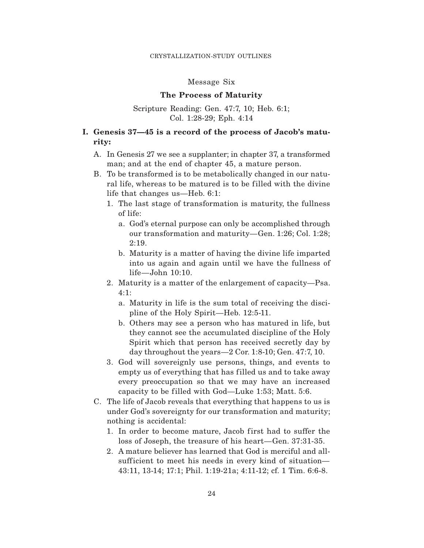## Message Six

## **The Process of Maturity**

Scripture Reading: Gen. 47:7, 10; Heb. 6:1; Col. 1:28-29; Eph. 4:14

## **I. Genesis 37—45 is a record of the process of Jacob's maturity:**

- A. In Genesis 27 we see a supplanter; in chapter 37, a transformed man; and at the end of chapter 45, a mature person.
- B. To be transformed is to be metabolically changed in our natural life, whereas to be matured is to be filled with the divine life that changes us—Heb. 6:1:
	- 1. The last stage of transformation is maturity, the fullness of life:
		- a. God's eternal purpose can only be accomplished through our transformation and maturity—Gen. 1:26; Col. 1:28; 2:19.
		- b. Maturity is a matter of having the divine life imparted into us again and again until we have the fullness of life—John 10:10.
	- 2. Maturity is a matter of the enlargement of capacity—Psa. 4:1:
		- a. Maturity in life is the sum total of receiving the discipline of the Holy Spirit—Heb. 12:5-11.
		- b. Others may see a person who has matured in life, but they cannot see the accumulated discipline of the Holy Spirit which that person has received secretly day by day throughout the years—2 Cor. 1:8-10; Gen. 47:7, 10.
	- 3. God will sovereignly use persons, things, and events to empty us of everything that has filled us and to take away every preoccupation so that we may have an increased capacity to be filled with  $God$ —Luke 1:53; Matt. 5:6.
- C. The life of Jacob reveals that everything that happens to us is under God's sovereignty for our transformation and maturity; nothing is accidental:
	- 1. In order to become mature, Jacob first had to suffer the loss of Joseph, the treasure of his heart—Gen. 37:31-35.
	- 2. A mature believer has learned that God is merciful and allsufficient to meet his needs in every kind of situation— 43:11, 13-14; 17:1; Phil. 1:19-21a; 4:11-12; cf. 1 Tim. 6:6-8.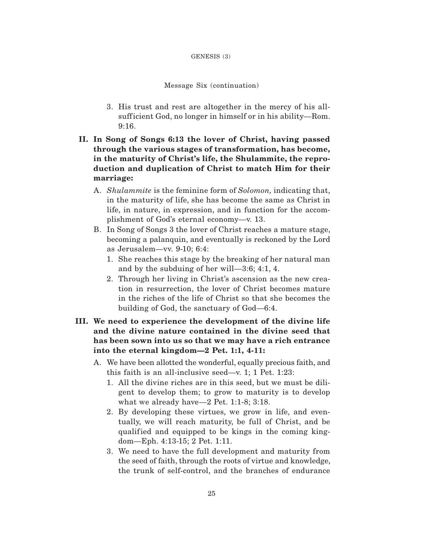#### GENESIS (3)

## Message Six (continuation)

- 3. His trust and rest are altogether in the mercy of his allsufficient God, no longer in himself or in his ability—Rom. 9:16.
- **II. In Song of Songs 6:13 the lover of Christ, having passed through the various stages of transformation, has become, in the maturity of Christ's life, the Shulammite, the reproduction and duplication of Christ to match Him for their marriage:**
	- A. *Shulammite* is the feminine form of *Solomon,* indicating that, in the maturity of life, she has become the same as Christ in life, in nature, in expression, and in function for the accomplishment of God's eternal economy—v. 13.
	- B. In Song of Songs 3 the lover of Christ reaches a mature stage, becoming a palanquin, and eventually is reckoned by the Lord as Jerusalem—vv. 9-10; 6:4:
		- 1. She reaches this stage by the breaking of her natural man and by the subduing of her will—3:6; 4:1, 4.
		- 2. Through her living in Christ's ascension as the new creation in resurrection, the lover of Christ becomes mature in the riches of the life of Christ so that she becomes the building of God, the sanctuary of God—6:4.
- **III. We need to experience the development of the divine life and the divine nature contained in the divine seed that has been sown into us so that we may have a rich entrance into the eternal kingdom—2 Pet. 1:1, 4-11:**
	- A. We have been allotted the wonderful, equally precious faith, and this faith is an all-inclusive seed—v. 1; 1 Pet. 1:23:
		- 1. All the divine riches are in this seed, but we must be diligent to develop them; to grow to maturity is to develop what we already have—2 Pet. 1:1-8; 3:18.
		- 2. By developing these virtues, we grow in life, and eventually, we will reach maturity, be full of Christ, and be qualif ied and equipped to be kings in the coming kingdom—Eph. 4:13-15; 2 Pet. 1:11.
		- 3. We need to have the full development and maturity from the seed of faith, through the roots of virtue and knowledge, the trunk of self-control, and the branches of endurance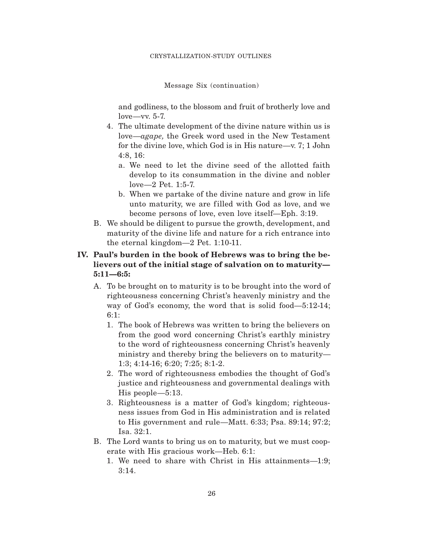Message Six (continuation)

and godliness, to the blossom and fruit of brotherly love and love—vv. 5-7.

- 4. The ultimate development of the divine nature within us is love—*agape,* the Greek word used in the New Testament for the divine love, which God is in His nature—v. 7; 1 John 4:8, 16:
	- a. We need to let the divine seed of the allotted faith develop to its consummation in the divine and nobler love—2 Pet. 1:5-7.
	- b. When we partake of the divine nature and grow in life unto maturity, we are filled with God as love, and we become persons of love, even love itself—Eph. 3:19.
- B. We should be diligent to pursue the growth, development, and maturity of the divine life and nature for a rich entrance into the eternal kingdom—2 Pet. 1:10-11.

# **IV. Paul's burden in the book of Hebrews was to bring the believers out of the initial stage of salvation on to maturity— 5:11—6:5:**

- A. To be brought on to maturity is to be brought into the word of righteousness concerning Christ's heavenly ministry and the way of God's economy, the word that is solid food—5:12-14; 6:1:
	- 1. The book of Hebrews was written to bring the believers on from the good word concerning Christ's earthly ministry to the word of righteousness concerning Christ's heavenly ministry and thereby bring the believers on to maturity— 1:3; 4:14-16; 6:20; 7:25; 8:1-2.
	- 2. The word of righteousness embodies the thought of God's justice and righteousness and governmental dealings with His people—5:13.
	- 3. Righteousness is a matter of God's kingdom; righteousness issues from God in His administration and is related to His government and rule—Matt. 6:33; Psa. 89:14; 97:2; Isa. 32:1.
- B. The Lord wants to bring us on to maturity, but we must cooperate with His gracious work—Heb. 6:1:
	- 1. We need to share with Christ in His attainments—1:9; 3:14.